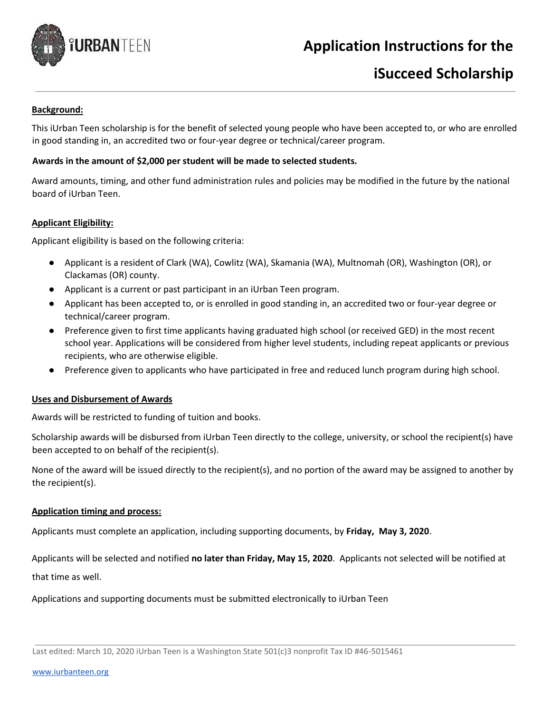

## **Application Instructions for the**

# **iSucceed Scholarship**

## **Background:**

This iUrban Teen scholarship is for the benefit of selected young people who have been accepted to, or who are enrolled in good standing in, an accredited two or four-year degree or technical/career program.

## **Awards in the amount of \$2,000 per student will be made to selected students.**

Award amounts, timing, and other fund administration rules and policies may be modified in the future by the national board of iUrban Teen.

## **Applicant Eligibility:**

Applicant eligibility is based on the following criteria:

- Applicant is a resident of Clark (WA), Cowlitz (WA), Skamania (WA), Multnomah (OR), Washington (OR), or Clackamas (OR) county.
- Applicant is a current or past participant in an iUrban Teen program.
- Applicant has been accepted to, or is enrolled in good standing in, an accredited two or four-year degree or technical/career program.
- Preference given to first time applicants having graduated high school (or received GED) in the most recent school year. Applications will be considered from higher level students, including repeat applicants or previous recipients, who are otherwise eligible.
- Preference given to applicants who have participated in free and reduced lunch program during high school.

## **Uses and Disbursement of Awards**

Awards will be restricted to funding of tuition and books.

Scholarship awards will be disbursed from iUrban Teen directly to the college, university, or school the recipient(s) have been accepted to on behalf of the recipient(s).

None of the award will be issued directly to the recipient(s), and no portion of the award may be assigned to another by the recipient(s).

## **Application timing and process:**

Applicants must complete an application, including supporting documents, by **Friday, May 3, 2020**.

Applicants will be selected and notified **no later than Friday, May 15, 2020**. Applicants not selected will be notified at that time as well.

Applications and supporting documents must be submitted electronically to iUrban Teen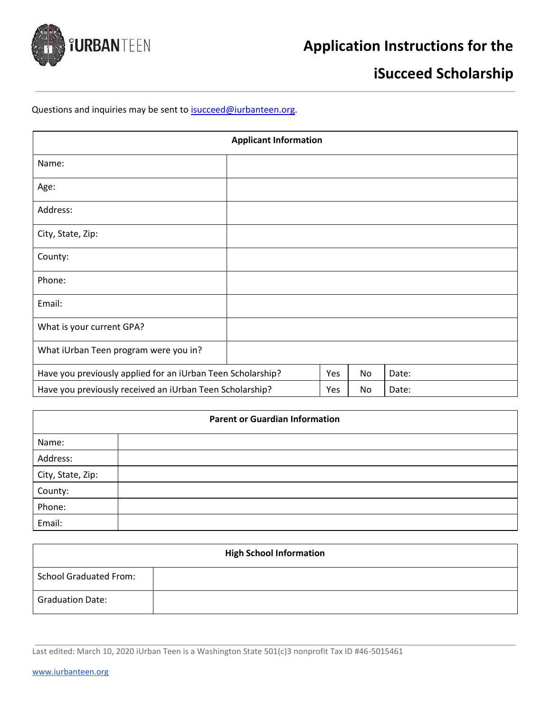

# **iSucceed Scholarship**

## Questions and inquiries may be sent to **isucceed@iurbanteen.org**.

|                                                             | <b>Applicant Information</b> |     |    |       |
|-------------------------------------------------------------|------------------------------|-----|----|-------|
| Name:                                                       |                              |     |    |       |
| Age:                                                        |                              |     |    |       |
| Address:                                                    |                              |     |    |       |
| City, State, Zip:                                           |                              |     |    |       |
| County:                                                     |                              |     |    |       |
| Phone:                                                      |                              |     |    |       |
| Email:                                                      |                              |     |    |       |
| What is your current GPA?                                   |                              |     |    |       |
| What iUrban Teen program were you in?                       |                              |     |    |       |
| Have you previously applied for an iUrban Teen Scholarship? |                              | Yes | No | Date: |
| Have you previously received an iUrban Teen Scholarship?    |                              | Yes | No | Date: |

#### **Parent or Guardian Information**

| Name:             |  |
|-------------------|--|
| Address:          |  |
| City, State, Zip: |  |
| County:           |  |
| Phone:            |  |
| Email:            |  |

| <b>High School Information</b> |  |  |
|--------------------------------|--|--|
| <b>School Graduated From:</b>  |  |  |
| <b>Graduation Date:</b>        |  |  |

Last edited: March 10, 2020 iUrban Teen is a Washington State 501(c)3 nonprofit Tax ID #46-5015461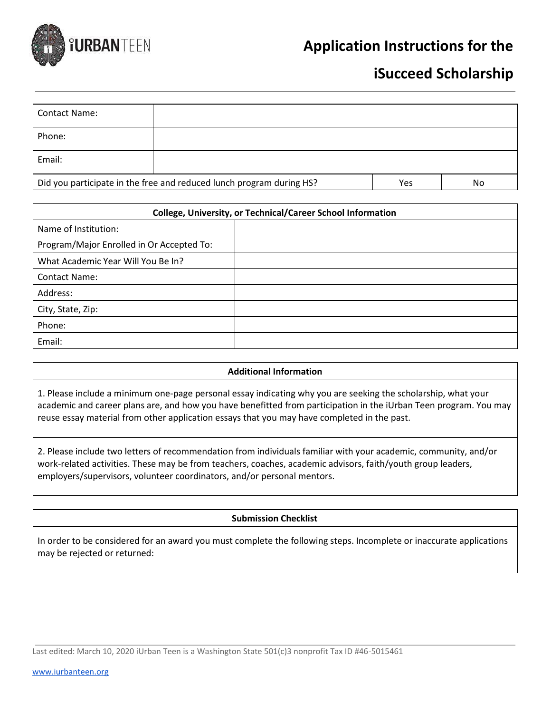

## **Application Instructions for the**

## **iSucceed Scholarship**

| <b>Contact Name:</b>                                                 |  |     |    |
|----------------------------------------------------------------------|--|-----|----|
| Phone:                                                               |  |     |    |
| Email:                                                               |  |     |    |
| Did you participate in the free and reduced lunch program during HS? |  | Yes | No |

| <b>College, University, or Technical/Career School Information</b> |  |  |  |
|--------------------------------------------------------------------|--|--|--|
| Name of Institution:                                               |  |  |  |
| Program/Major Enrolled in Or Accepted To:                          |  |  |  |
| What Academic Year Will You Be In?                                 |  |  |  |
| <b>Contact Name:</b>                                               |  |  |  |
| Address:                                                           |  |  |  |
| City, State, Zip:                                                  |  |  |  |
| Phone:                                                             |  |  |  |
| Email:                                                             |  |  |  |

## **Additional Information**

1. Please include a minimum one-page personal essay indicating why you are seeking the scholarship, what your academic and career plans are, and how you have benefitted from participation in the iUrban Teen program. You may reuse essay material from other application essays that you may have completed in the past.

2. Please include two letters of recommendation from individuals familiar with your academic, community, and/or work-related activities. These may be from teachers, coaches, academic advisors, faith/youth group leaders, employers/supervisors, volunteer coordinators, and/or personal mentors.

## **Submission Checklist**

In order to be considered for an award you must complete the following steps. Incomplete or inaccurate applications may be rejected or returned:

Last edited: March 10, 2020 iUrban Teen is a Washington State 501(c)3 nonprofit Tax ID #46-5015461